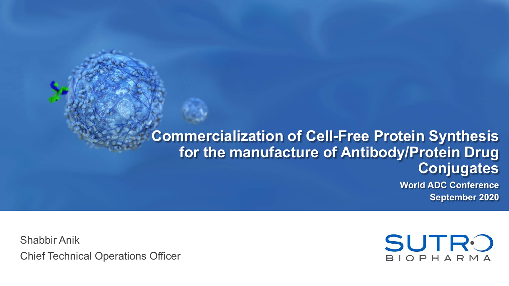**Commercialization of Cell-Free Protein Synthesis for the manufacture of Antibody/Protein Drug Conjugates World ADC Conference**

**September 2020**

Shabbir Anik Chief Technical Operations Officer

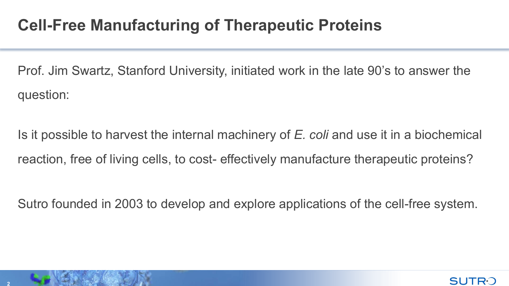# **Cell-Free Manufacturing of Therapeutic Proteins**

Prof. Jim Swartz, Stanford University, initiated work in the late 90's to answer the question:

Is it possible to harvest the internal machinery of *E. coli* and use it in a biochemical reaction, free of living cells, to cost- effectively manufacture therapeutic proteins?

Sutro founded in 2003 to develop and explore applications of the cell-free system.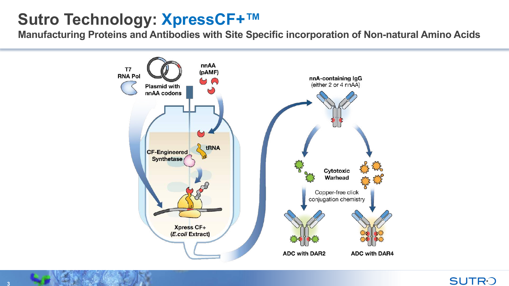# **Sutro Technology: XpressCF+™**

**Manufacturing Proteins and Antibodies with Site Specific incorporation of Non-natural Amino Acids**

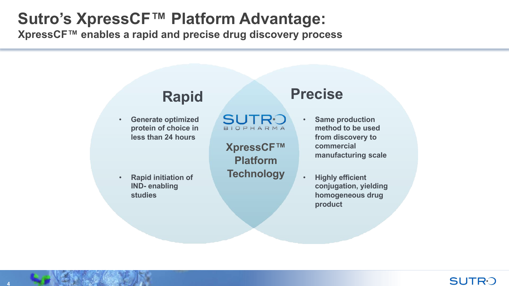# **Sutro's XpressCF™ Platform Advantage:**

**XpressCF™ enables a rapid and precise drug discovery process**

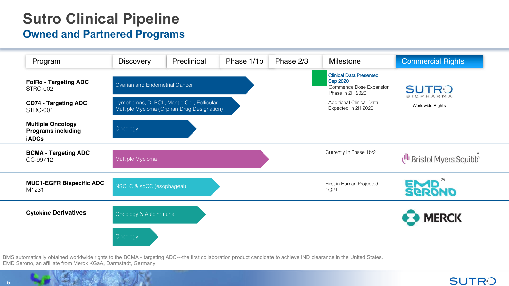# **Sutro Clinical Pipeline**

#### **Owned and Partnered Programs**

![](_page_4_Figure_2.jpeg)

BMS automatically obtained worldwide rights to the BCMA - targeting ADC---the first collaboration product candidate to achieve IND clearance in the United States. EMD Serono, an affiliate from Merck KGaA, Darmstadt, Germany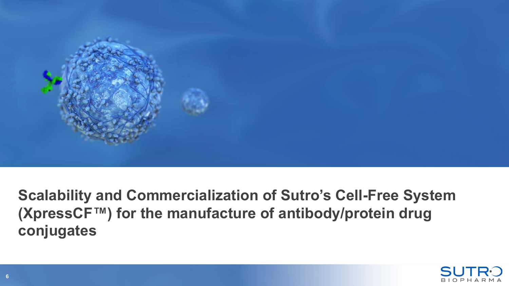![](_page_5_Picture_0.jpeg)

**Scalability and Commercialization of Sutro's Cell-Free System (XpressCF™) for the manufacture of antibody/protein drug conjugates**

![](_page_5_Picture_2.jpeg)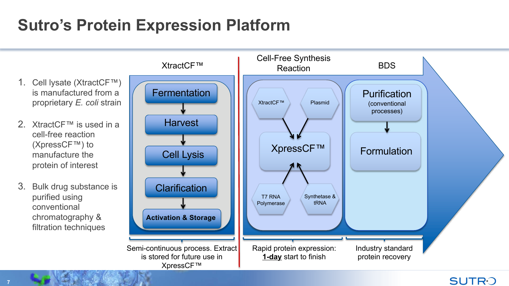# **Sutro's Protein Expression Platform**

![](_page_6_Figure_1.jpeg)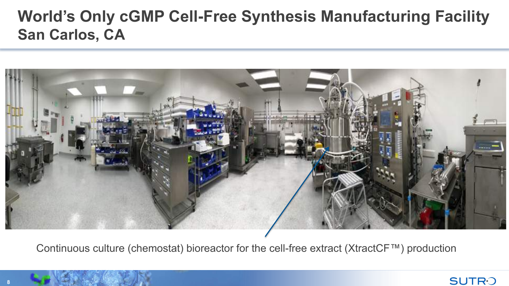# **World's Only cGMP Cell-Free Synthesis Manufacturing Facility San Carlos, CA**

![](_page_7_Picture_1.jpeg)

Continuous culture (chemostat) bioreactor for the cell-free extract (XtractCF™) production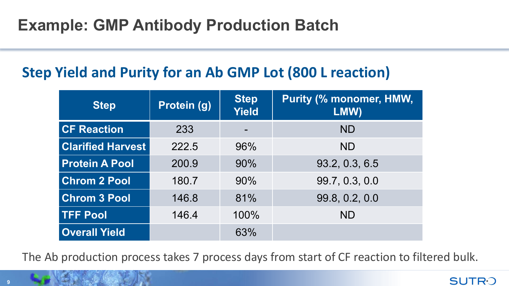# **Example: GMP Antibody Production Batch**

## **Step Yield and Purity for an Ab GMP Lot (800 L reaction)**

| <b>Step</b>              | Protein (g) | <b>Step</b><br><b>Yield</b> | <b>Purity (% monomer, HMW,</b><br>LMW) |
|--------------------------|-------------|-----------------------------|----------------------------------------|
| <b>CF Reaction</b>       | 233         |                             | <b>ND</b>                              |
| <b>Clarified Harvest</b> | 222.5       | 96%                         | <b>ND</b>                              |
| <b>Protein A Pool</b>    | 200.9       | 90%                         | 93.2, 0.3, 6.5                         |
| <b>Chrom 2 Pool</b>      | 180.7       | 90%                         | 99.7, 0.3, 0.0                         |
| <b>Chrom 3 Pool</b>      | 146.8       | 81%                         | 99.8, 0.2, 0.0                         |
| <b>TFF Pool</b>          | 146.4       | 100%                        | <b>ND</b>                              |
| <b>Overall Yield</b>     |             | 63%                         |                                        |

The Ab production process takes 7 process days from start of CF reaction to filtered bulk.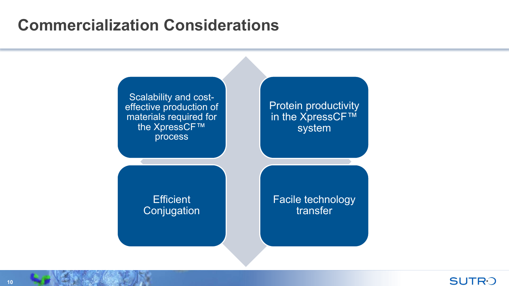# **Commercialization Considerations**

![](_page_9_Figure_1.jpeg)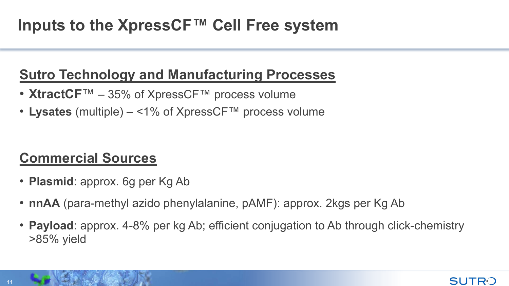# **Inputs to the XpressCF™ Cell Free system**

## **Sutro Technology and Manufacturing Processes**

- **XtractCF**™ 35% of XpressCF™ process volume
- **Lysates** (multiple) <1% of XpressCF™ process volume

# **Commercial Sources**

- **Plasmid**: approx. 6g per Kg Ab
- **nnAA** (para-methyl azido phenylalanine, pAMF): approx. 2kgs per Kg Ab
- **Payload**: approx. 4-8% per kg Ab; efficient conjugation to Ab through click-chemistry >85% yield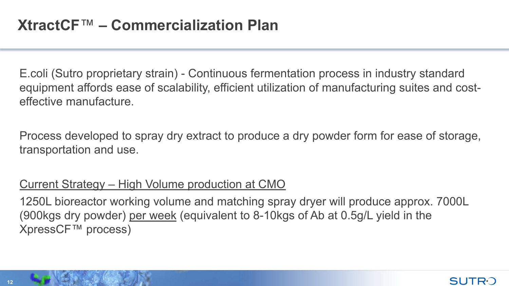E.coli (Sutro proprietary strain) - Continuous fermentation process in industry standard equipment affords ease of scalability, efficient utilization of manufacturing suites and costeffective manufacture.

Process developed to spray dry extract to produce a dry powder form for ease of storage, transportation and use.

### Current Strategy – High Volume production at CMO

1250L bioreactor working volume and matching spray dryer will produce approx. 7000L (900kgs dry powder) per week (equivalent to 8-10kgs of Ab at 0.5g/L yield in the XpressCF™ process)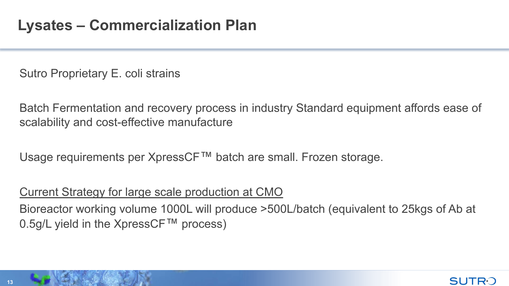Sutro Proprietary E. coli strains

Batch Fermentation and recovery process in industry Standard equipment affords ease of scalability and cost-effective manufacture

Usage requirements per XpressCF™ batch are small. Frozen storage.

### Current Strategy for large scale production at CMO

Bioreactor working volume 1000L will produce >500L/batch (equivalent to 25kgs of Ab at 0.5g/L yield in the XpressCF™ process)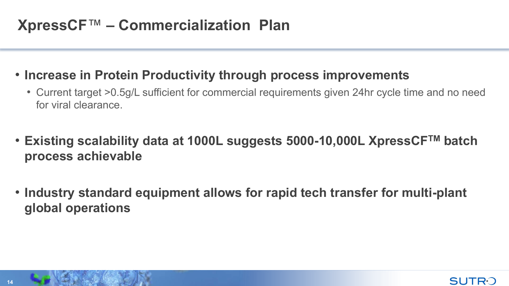# **XpressCF**™ **– Commercialization Plan**

### • **Increase in Protein Productivity through process improvements**

- Current target >0.5g/L sufficient for commercial requirements given 24hr cycle time and no need for viral clearance.
- **Existing scalability data at 1000L suggests 5000-10,000L XpressCFTM batch process achievable**
- **Industry standard equipment allows for rapid tech transfer for multi-plant global operations**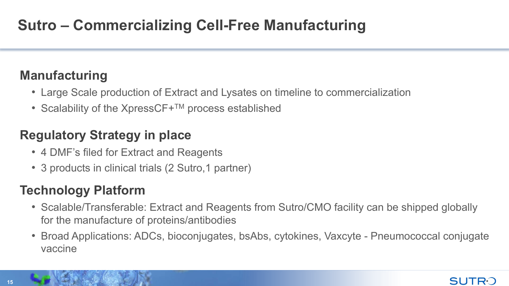# **Sutro – Commercializing Cell-Free Manufacturing**

## **Manufacturing**

- Large Scale production of Extract and Lysates on timeline to commercialization
- Scalability of the Xpress $CF+<sup>TM</sup>$  process established

### **Regulatory Strategy in place**

- 4 DMF's filed for Extract and Reagents
- 3 products in clinical trials (2 Sutro, 1 partner)

## **Technology Platform**

- Scalable/Transferable: Extract and Reagents from Sutro/CMO facility can be shipped globally for the manufacture of proteins/antibodies
- Broad Applications: ADCs, bioconjugates, bsAbs, cytokines, Vaxcyte Pneumococcal conjugate vaccine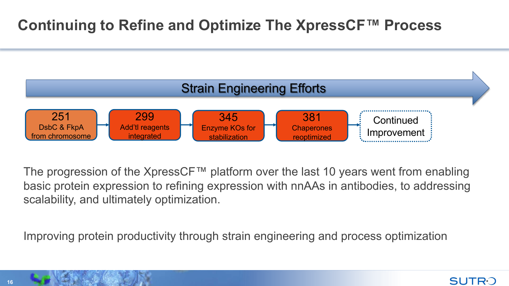## **Continuing to Refine and Optimize The XpressCF™ Process**

![](_page_15_Figure_1.jpeg)

The progression of the XpressCF™ platform over the last 10 years went from enabling basic protein expression to refining expression with nnAAs in antibodies, to addressing scalability, and ultimately optimization.

Improving protein productivity through strain engineering and process optimization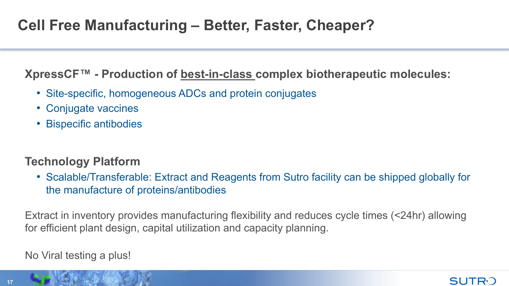### **XpressCF™ - Production of best-in-class complex biotherapeutic molecules:**

- Site-specific, homogeneous ADCs and protein conjugates
- Conjugate vaccines
- Bispecific antibodies

### **Technology Platform**

• Scalable/Transferable: Extract and Reagents from Sutro facility can be shipped globally for the manufacture of proteins/antibodies

Extract in inventory provides manufacturing flexibility and reduces cycle times (<24hr) allowing for efficient plant design, capital utilization and capacity planning.

No Viral testing a plus!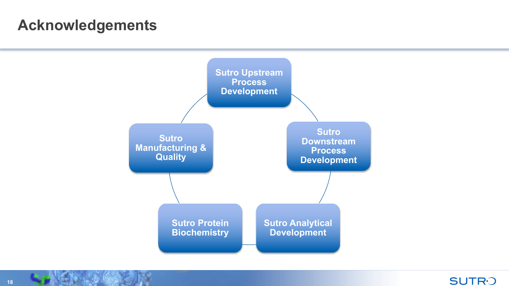## **Acknowledgements**

![](_page_17_Figure_1.jpeg)

![](_page_17_Picture_2.jpeg)